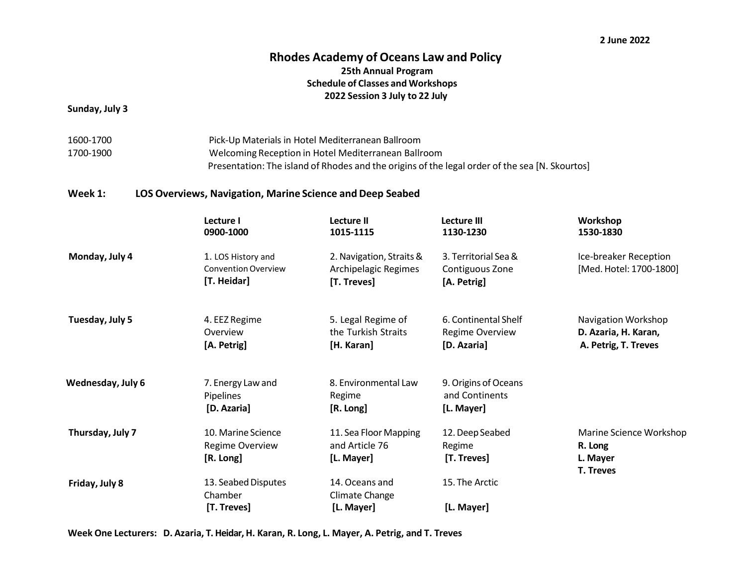#### **2 June 2022**

### **Rhodes Academy of Oceans Law and Policy 25th Annual Program Schedule of Classes and Workshops 2022 Session 3 July to 22 July**

**Sunday, July 3**

1600-1700 Pick-Up Materials in Hotel Mediterranean Ballroom 1700-1900 Welcoming Reception in Hotel Mediterranean Ballroom Presentation: The island of Rhodes and the origins of the legal order of the sea [N. Skourtos]

### **Week 1: LOS Overviews, Navigation, Marine Science and Deep Seabed**

|                   | Lecture I<br>0900-1000                                          | Lecture II<br>1015-1115                                         | <b>Lecture III</b><br>1130-1230                               | Workshop<br>1530-1830                                               |
|-------------------|-----------------------------------------------------------------|-----------------------------------------------------------------|---------------------------------------------------------------|---------------------------------------------------------------------|
| Monday, July 4    | 1. LOS History and<br><b>Convention Overview</b><br>[T. Heidar] | 2. Navigation, Straits &<br>Archipelagic Regimes<br>[T. Treves] | 3. Territorial Sea &<br>Contiguous Zone<br>[A. Petrig]        | Ice-breaker Reception<br>[Med. Hotel: 1700-1800]                    |
| Tuesday, July 5   | 4. EEZ Regime<br>Overview<br>[A. Petrig]                        | 5. Legal Regime of<br>the Turkish Straits<br>[H. Karan]         | 6. Continental Shelf<br><b>Regime Overview</b><br>[D. Azaria] | Navigation Workshop<br>D. Azaria, H. Karan,<br>A. Petrig, T. Treves |
| Wednesday, July 6 | 7. Energy Law and<br>Pipelines<br>[D. Azaria]                   | 8. Environmental Law<br>Regime<br>[R. Long]                     | 9. Origins of Oceans<br>and Continents<br>[L. Mayer]          |                                                                     |
| Thursday, July 7  | 10. Marine Science<br><b>Regime Overview</b><br>[R. Long]       | 11. Sea Floor Mapping<br>and Article 76<br>[L. Mayer]           | 12. Deep Seabed<br>Regime<br>[T. Treves]                      | Marine Science Workshop<br>R. Long<br>L. Mayer<br><b>T. Treves</b>  |
| Friday, July 8    | 13. Seabed Disputes<br>Chamber<br>[T. Treves]                   | 14. Oceans and<br>Climate Change<br>[L. Mayer]                  | 15. The Arctic<br>[L. Mayer]                                  |                                                                     |

**Week One Lecturers: D. Azaria, T. Heidar,H. Karan, R. Long, L. Mayer, A. Petrig, and T. Treves**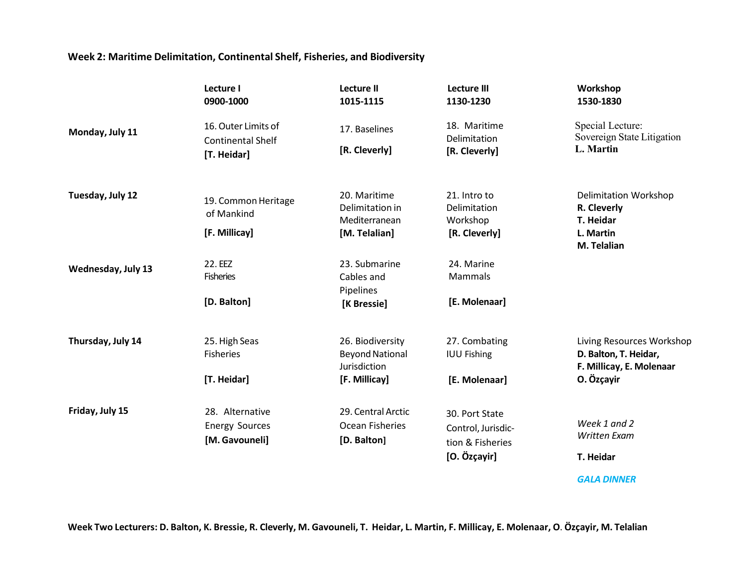## **Week 2: Maritime Delimitation, Continental Shelf, Fisheries, and Biodiversity**

|                    | Lecture I<br>0900-1000                          | <b>Lecture II</b><br>1015-1115   | <b>Lecture III</b><br>1130-1230 | Workshop<br>1530-1830                          |
|--------------------|-------------------------------------------------|----------------------------------|---------------------------------|------------------------------------------------|
| Monday, July 11    | 16. Outer Limits of<br><b>Continental Shelf</b> | 17. Baselines                    | 18. Maritime<br>Delimitation    | Special Lecture:<br>Sovereign State Litigation |
|                    | [T. Heidar]                                     | [R. Cleverly]                    | [R. Cleverly]                   | L. Martin                                      |
| Tuesday, July 12   | 19. Common Heritage                             | 20. Maritime                     | 21. Intro to                    | <b>Delimitation Workshop</b>                   |
|                    | of Mankind                                      | Delimitation in<br>Mediterranean | Delimitation<br>Workshop        | R. Cleverly<br>T. Heidar                       |
|                    | [F. Millicay]                                   | [M. Telalian]                    | [R. Cleverly]                   | L. Martin                                      |
|                    |                                                 |                                  |                                 | M. Telalian                                    |
| Wednesday, July 13 | 22. EEZ                                         | 23. Submarine                    | 24. Marine                      |                                                |
|                    | <b>Fisheries</b>                                | Cables and                       | Mammals                         |                                                |
|                    |                                                 | Pipelines                        |                                 |                                                |
|                    | [D. Balton]                                     | [K Bressie]                      | [E. Molenaar]                   |                                                |
| Thursday, July 14  | 25. High Seas                                   | 26. Biodiversity                 | 27. Combating                   | Living Resources Workshop                      |
|                    | <b>Fisheries</b>                                | <b>Beyond National</b>           | <b>IUU Fishing</b>              | D. Balton, T. Heidar,                          |
|                    |                                                 | Jurisdiction                     |                                 | F. Millicay, E. Molenaar                       |
|                    | [T. Heidar]                                     | [F. Millicay]                    | [E. Molenaar]                   | O. Özçayir                                     |
| Friday, July 15    | 28. Alternative                                 | 29. Central Arctic               | 30. Port State                  |                                                |
|                    | <b>Energy Sources</b>                           | Ocean Fisheries                  | Control, Jurisdic-              | Week 1 and 2                                   |
|                    | [M. Gavouneli]                                  | [D. Balton]                      | tion & Fisheries                | Written Exam                                   |
|                    |                                                 |                                  | [O. Özçayir]                    | T. Heidar                                      |
|                    |                                                 |                                  |                                 |                                                |

*GALA DINNER*

Week Two Lecturers: D. Balton, K. Bressie, R. Cleverly, M. Gavouneli, T. Heidar, L. Martin, F. Millicay, E. Molenaar, O. Özçayir, M. Telalian